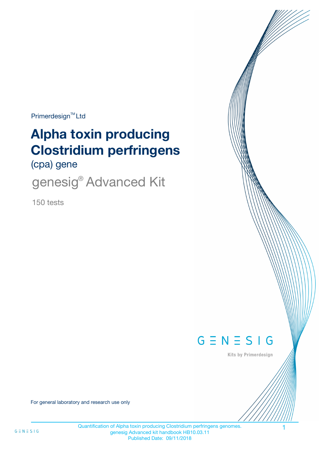$Primerdesign<sup>™</sup>Ltd$ 

# **Alpha toxin producing Clostridium perfringens**

(cpa) gene

genesig<sup>®</sup> Advanced Kit

150 tests



Kits by Primerdesign

For general laboratory and research use only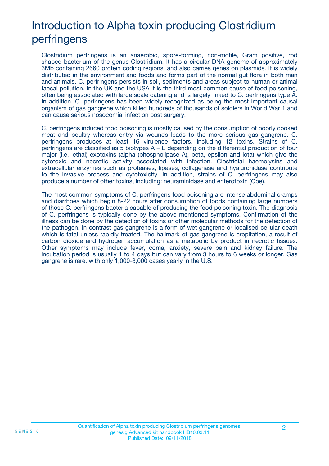# Introduction to Alpha toxin producing Clostridium perfringens

Clostridium perfringens is an anaerobic, spore-forming, non-motile, Gram positive, rod shaped bacterium of the genus Clostridium. It has a circular DNA genome of approximately 3Mb containing 2660 protein coding regions, and also carries genes on plasmids. It is widely distributed in the environment and foods and forms part of the normal gut flora in both man and animals. C. perfringens persists in soil, sediments and areas subject to human or animal faecal pollution. In the UK and the USA it is the third most common cause of food poisoning, often being associated with large scale catering and is largely linked to C. perfringens type A. In addition, C. perfringens has been widely recognized as being the most important causal organism of gas gangrene which killed hundreds of thousands of soldiers in World War 1 and can cause serious nosocomial infection post surgery.

C. perfringens induced food poisoning is mostly caused by the consumption of poorly cooked meat and poultry whereas entry via wounds leads to the more serious gas gangrene. C. perfringens produces at least 16 virulence factors, including 12 toxins. Strains of C. perfringens are classified as 5 biotypes A – E depending on the differential production of four major (i.e. lethal) exotoxins (alpha (phospholipase A), beta, epsilon and iota) which give the cytotoxic and necrotic activity associated with infection. Clostridial haemolysins and extracellular enzymes such as proteases, lipases, collagenase and hyaluronidase contribute to the invasive process and cytotoxicity. In addition, strains of C. perfringens may also produce a number of other toxins, including: neuraminidase and enterotoxin (Cpe).

The most common symptoms of C. perfringens food poisoning are intense abdominal cramps and diarrhoea which begin 8-22 hours after consumption of foods containing large numbers of those C. perfringens bacteria capable of producing the food poisoning toxin. The diagnosis of C. perfringens is typically done by the above mentioned symptoms. Confirmation of the illness can be done by the detection of toxins or other molecular methods for the detection of the pathogen. In contrast gas gangrene is a form of wet gangrene or localised cellular death which is fatal unless rapidly treated. The hallmark of gas gangrene is crepitation, a result of carbon dioxide and hydrogen accumulation as a metabolic by product in necrotic tissues. Other symptoms may include fever, coma, anxiety, severe pain and kidney failure. The incubation period is usually 1 to 4 days but can vary from 3 hours to 6 weeks or longer. Gas gangrene is rare, with only 1,000-3,000 cases yearly in the U.S.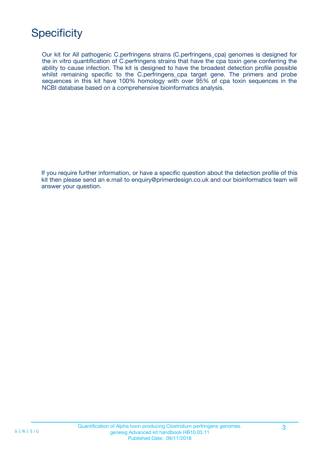# **Specificity**

Our kit for All pathogenic C.perfringens strains (C.perfringens\_cpa) genomes is designed for the in vitro quantification of C.perfringens strains that have the cpa toxin gene conferring the ability to cause infection. The kit is designed to have the broadest detection profile possible whilst remaining specific to the C.perfringens\_cpa target gene. The primers and probe sequences in this kit have 100% homology with over 95% of cpa toxin sequences in the NCBI database based on a comprehensive bioinformatics analysis.

If you require further information, or have a specific question about the detection profile of this kit then please send an e.mail to enquiry@primerdesign.co.uk and our bioinformatics team will answer your question.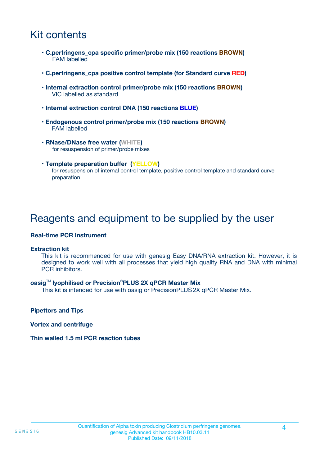## Kit contents

- **C.perfringens\_cpa specific primer/probe mix (150 reactions BROWN)** FAM labelled
- **C.perfringens\_cpa positive control template (for Standard curve RED)**
- **Internal extraction control primer/probe mix (150 reactions BROWN)** VIC labelled as standard
- **Internal extraction control DNA (150 reactions BLUE)**
- **Endogenous control primer/probe mix (150 reactions BROWN)** FAM labelled
- **RNase/DNase free water (WHITE)** for resuspension of primer/probe mixes
- **Template preparation buffer (YELLOW)** for resuspension of internal control template, positive control template and standard curve preparation

### Reagents and equipment to be supplied by the user

#### **Real-time PCR Instrument**

#### **Extraction kit**

This kit is recommended for use with genesig Easy DNA/RNA extraction kit. However, it is designed to work well with all processes that yield high quality RNA and DNA with minimal PCR inhibitors.

#### **oasig**TM **lyophilised or Precision**®**PLUS 2X qPCR Master Mix**

This kit is intended for use with oasig or PrecisionPLUS2X qPCR Master Mix.

**Pipettors and Tips**

**Vortex and centrifuge**

#### **Thin walled 1.5 ml PCR reaction tubes**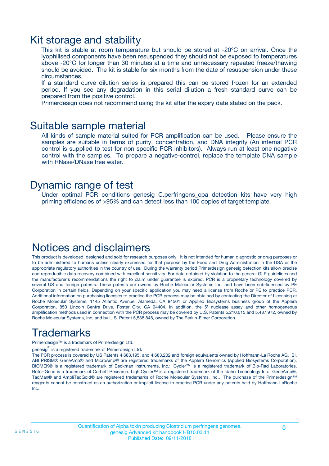### Kit storage and stability

This kit is stable at room temperature but should be stored at -20ºC on arrival. Once the lyophilised components have been resuspended they should not be exposed to temperatures above -20°C for longer than 30 minutes at a time and unnecessary repeated freeze/thawing should be avoided. The kit is stable for six months from the date of resuspension under these circumstances.

If a standard curve dilution series is prepared this can be stored frozen for an extended period. If you see any degradation in this serial dilution a fresh standard curve can be prepared from the positive control.

Primerdesign does not recommend using the kit after the expiry date stated on the pack.

### Suitable sample material

All kinds of sample material suited for PCR amplification can be used. Please ensure the samples are suitable in terms of purity, concentration, and DNA integrity (An internal PCR control is supplied to test for non specific PCR inhibitors). Always run at least one negative control with the samples. To prepare a negative-control, replace the template DNA sample with RNase/DNase free water.

### Dynamic range of test

Under optimal PCR conditions genesig C.perfringens\_cpa detection kits have very high priming efficiencies of >95% and can detect less than 100 copies of target template.

### Notices and disclaimers

This product is developed, designed and sold for research purposes only. It is not intended for human diagnostic or drug purposes or to be administered to humans unless clearly expressed for that purpose by the Food and Drug Administration in the USA or the appropriate regulatory authorities in the country of use. During the warranty period Primerdesign genesig detection kits allow precise and reproducible data recovery combined with excellent sensitivity. For data obtained by violation to the general GLP guidelines and the manufacturer's recommendations the right to claim under guarantee is expired. PCR is a proprietary technology covered by several US and foreign patents. These patents are owned by Roche Molecular Systems Inc. and have been sub-licensed by PE Corporation in certain fields. Depending on your specific application you may need a license from Roche or PE to practice PCR. Additional information on purchasing licenses to practice the PCR process may be obtained by contacting the Director of Licensing at Roche Molecular Systems, 1145 Atlantic Avenue, Alameda, CA 94501 or Applied Biosystems business group of the Applera Corporation, 850 Lincoln Centre Drive, Foster City, CA 94404. In addition, the 5' nuclease assay and other homogeneous amplification methods used in connection with the PCR process may be covered by U.S. Patents 5,210,015 and 5,487,972, owned by Roche Molecular Systems, Inc, and by U.S. Patent 5,538,848, owned by The Perkin-Elmer Corporation.

# Trademarks

Primerdesign™ is a trademark of Primerdesign Ltd.

genesig $^\circledR$  is a registered trademark of Primerdesign Ltd.

The PCR process is covered by US Patents 4,683,195, and 4,683,202 and foreign equivalents owned by Hoffmann-La Roche AG. BI, ABI PRISM® GeneAmp® and MicroAmp® are registered trademarks of the Applera Genomics (Applied Biosystems Corporation). BIOMEK® is a registered trademark of Beckman Instruments, Inc.; iCycler™ is a registered trademark of Bio-Rad Laboratories, Rotor-Gene is a trademark of Corbett Research. LightCycler™ is a registered trademark of the Idaho Technology Inc. GeneAmp®, TaqMan® and AmpliTaqGold® are registered trademarks of Roche Molecular Systems, Inc., The purchase of the Primerdesign™ reagents cannot be construed as an authorization or implicit license to practice PCR under any patents held by Hoffmann-LaRoche Inc.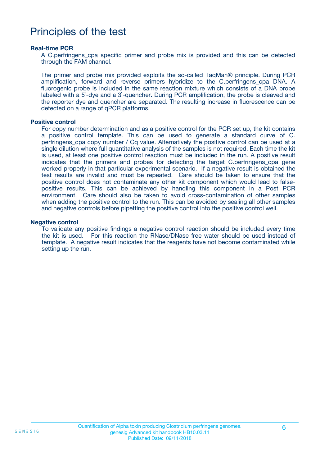### Principles of the test

#### **Real-time PCR**

A C.perfringens cpa specific primer and probe mix is provided and this can be detected through the FAM channel.

The primer and probe mix provided exploits the so-called TaqMan® principle. During PCR amplification, forward and reverse primers hybridize to the C.perfringens\_cpa DNA. A fluorogenic probe is included in the same reaction mixture which consists of a DNA probe labeled with a 5`-dye and a 3`-quencher. During PCR amplification, the probe is cleaved and the reporter dye and quencher are separated. The resulting increase in fluorescence can be detected on a range of qPCR platforms.

#### **Positive control**

For copy number determination and as a positive control for the PCR set up, the kit contains a positive control template. This can be used to generate a standard curve of C. perfringens cpa copy number / Cq value. Alternatively the positive control can be used at a single dilution where full quantitative analysis of the samples is not required. Each time the kit is used, at least one positive control reaction must be included in the run. A positive result indicates that the primers and probes for detecting the target C.perfringens cpa gene worked properly in that particular experimental scenario. If a negative result is obtained the test results are invalid and must be repeated. Care should be taken to ensure that the positive control does not contaminate any other kit component which would lead to falsepositive results. This can be achieved by handling this component in a Post PCR environment. Care should also be taken to avoid cross-contamination of other samples when adding the positive control to the run. This can be avoided by sealing all other samples and negative controls before pipetting the positive control into the positive control well.

#### **Negative control**

To validate any positive findings a negative control reaction should be included every time the kit is used. For this reaction the RNase/DNase free water should be used instead of template. A negative result indicates that the reagents have not become contaminated while setting up the run.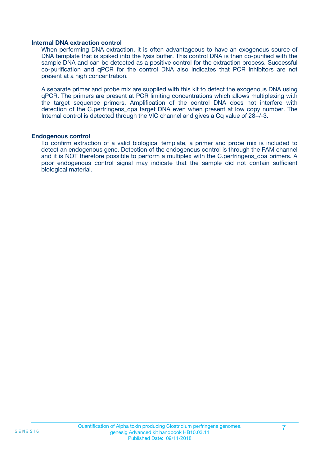#### **Internal DNA extraction control**

When performing DNA extraction, it is often advantageous to have an exogenous source of DNA template that is spiked into the lysis buffer. This control DNA is then co-purified with the sample DNA and can be detected as a positive control for the extraction process. Successful co-purification and qPCR for the control DNA also indicates that PCR inhibitors are not present at a high concentration.

A separate primer and probe mix are supplied with this kit to detect the exogenous DNA using qPCR. The primers are present at PCR limiting concentrations which allows multiplexing with the target sequence primers. Amplification of the control DNA does not interfere with detection of the C.perfringens cpa target DNA even when present at low copy number. The Internal control is detected through the VIC channel and gives a Cq value of 28+/-3.

#### **Endogenous control**

To confirm extraction of a valid biological template, a primer and probe mix is included to detect an endogenous gene. Detection of the endogenous control is through the FAM channel and it is NOT therefore possible to perform a multiplex with the C.perfringens cpa primers. A poor endogenous control signal may indicate that the sample did not contain sufficient biological material.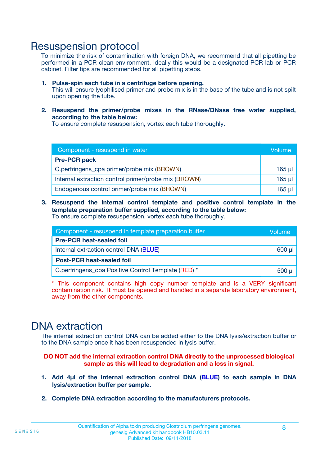### Resuspension protocol

To minimize the risk of contamination with foreign DNA, we recommend that all pipetting be performed in a PCR clean environment. Ideally this would be a designated PCR lab or PCR cabinet. Filter tips are recommended for all pipetting steps.

- **1. Pulse-spin each tube in a centrifuge before opening.** This will ensure lyophilised primer and probe mix is in the base of the tube and is not spilt upon opening the tube.
- **2. Resuspend the primer/probe mixes in the RNase/DNase free water supplied, according to the table below:**

To ensure complete resuspension, vortex each tube thoroughly.

| Component - resuspend in water                       |             |  |
|------------------------------------------------------|-------------|--|
| <b>Pre-PCR pack</b>                                  |             |  |
| C.perfringens_cpa primer/probe mix (BROWN)           | $165$ µl    |  |
| Internal extraction control primer/probe mix (BROWN) | $165$ $\mu$ |  |
| Endogenous control primer/probe mix (BROWN)          | $165$ µl    |  |

**3. Resuspend the internal control template and positive control template in the template preparation buffer supplied, according to the table below:** To ensure complete resuspension, vortex each tube thoroughly.

| Component - resuspend in template preparation buffer |  |  |
|------------------------------------------------------|--|--|
| <b>Pre-PCR heat-sealed foil</b>                      |  |  |
| Internal extraction control DNA (BLUE)               |  |  |
| <b>Post-PCR heat-sealed foil</b>                     |  |  |
| C.perfringens_cpa Positive Control Template (RED) *  |  |  |

\* This component contains high copy number template and is a VERY significant contamination risk. It must be opened and handled in a separate laboratory environment, away from the other components.

### DNA extraction

The internal extraction control DNA can be added either to the DNA lysis/extraction buffer or to the DNA sample once it has been resuspended in lysis buffer.

**DO NOT add the internal extraction control DNA directly to the unprocessed biological sample as this will lead to degradation and a loss in signal.**

- **1. Add 4µl of the Internal extraction control DNA (BLUE) to each sample in DNA lysis/extraction buffer per sample.**
- **2. Complete DNA extraction according to the manufacturers protocols.**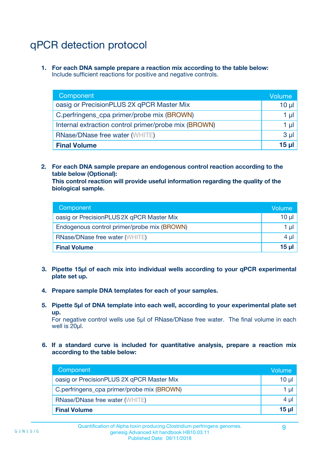# qPCR detection protocol

**1. For each DNA sample prepare a reaction mix according to the table below:** Include sufficient reactions for positive and negative controls.

| Component                                            | Volume   |
|------------------------------------------------------|----------|
| oasig or PrecisionPLUS 2X qPCR Master Mix            | 10 $\mu$ |
| C.perfringens_cpa primer/probe mix (BROWN)           | 1 µl     |
| Internal extraction control primer/probe mix (BROWN) | 1 µl     |
| <b>RNase/DNase free water (WHITE)</b>                | $3 \mu$  |
| <b>Final Volume</b>                                  | 15 µl    |

**2. For each DNA sample prepare an endogenous control reaction according to the table below (Optional):**

**This control reaction will provide useful information regarding the quality of the biological sample.**

| Component                                   | Volume   |
|---------------------------------------------|----------|
| oasig or PrecisionPLUS 2X qPCR Master Mix   | $10 \mu$ |
| Endogenous control primer/probe mix (BROWN) | 1 µI     |
| <b>RNase/DNase free water (WHITE)</b>       | $4 \mu$  |
| <b>Final Volume</b>                         | 15 µl    |

- **3. Pipette 15µl of each mix into individual wells according to your qPCR experimental plate set up.**
- **4. Prepare sample DNA templates for each of your samples.**
- **5. Pipette 5µl of DNA template into each well, according to your experimental plate set up.**

For negative control wells use 5µl of RNase/DNase free water. The final volume in each well is 20ul.

**6. If a standard curve is included for quantitative analysis, prepare a reaction mix according to the table below:**

| Component                                  | Volume          |
|--------------------------------------------|-----------------|
| oasig or PrecisionPLUS 2X qPCR Master Mix  | 10 $\mu$        |
| C.perfringens_cpa primer/probe mix (BROWN) | 1 µI            |
| <b>RNase/DNase free water (WHITE)</b>      | $4 \mu$         |
| <b>Final Volume</b>                        | 15 <sub>µ</sub> |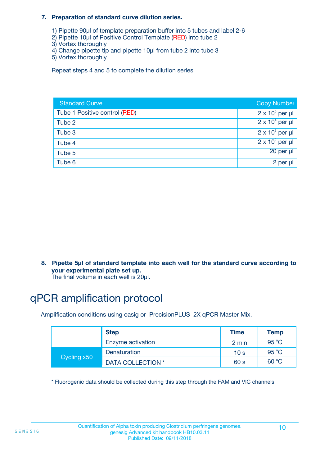#### **7. Preparation of standard curve dilution series.**

- 1) Pipette 90µl of template preparation buffer into 5 tubes and label 2-6
- 2) Pipette 10µl of Positive Control Template (RED) into tube 2
- 3) Vortex thoroughly
- 4) Change pipette tip and pipette 10µl from tube 2 into tube 3
- 5) Vortex thoroughly

Repeat steps 4 and 5 to complete the dilution series

| <b>Standard Curve</b>         | <b>Copy Number</b>     |
|-------------------------------|------------------------|
| Tube 1 Positive control (RED) | $2 \times 10^5$ per µl |
| Tube 2                        | $2 \times 10^4$ per µl |
| Tube 3                        | $2 \times 10^3$ per µl |
| Tube 4                        | $2 \times 10^2$ per µl |
| Tube 5                        | $20$ per $\mu$         |
| Tube 6                        | 2 per µl               |

**8. Pipette 5µl of standard template into each well for the standard curve according to your experimental plate set up.**

#### The final volume in each well is 20µl.

# qPCR amplification protocol

Amplification conditions using oasig or PrecisionPLUS 2X qPCR Master Mix.

|             | <b>Step</b>       | <b>Time</b>     | Temp    |
|-------------|-------------------|-----------------|---------|
|             | Enzyme activation | 2 min           | 95 °C   |
| Cycling x50 | Denaturation      | 10 <sub>s</sub> | 95 $°C$ |
|             | DATA COLLECTION * | 60 s            | 60 °C   |

\* Fluorogenic data should be collected during this step through the FAM and VIC channels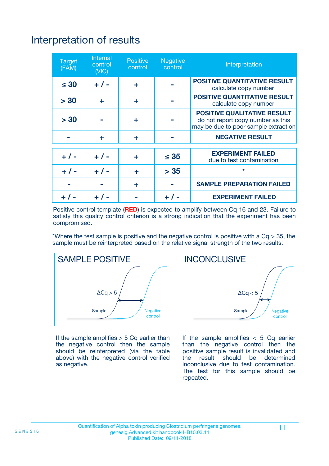# Interpretation of results

| <b>Target</b><br>(FAM) | Internal<br>control<br>(NIC) | <b>Positive</b><br>control | Negative<br>control | Interpretation                                                                                                  |
|------------------------|------------------------------|----------------------------|---------------------|-----------------------------------------------------------------------------------------------------------------|
| $\leq 30$              | $+ 1 -$                      | ÷                          |                     | <b>POSITIVE QUANTITATIVE RESULT</b><br>calculate copy number                                                    |
| > 30                   | ÷                            | ÷                          |                     | <b>POSITIVE QUANTITATIVE RESULT</b><br>calculate copy number                                                    |
| > 30                   |                              | ÷                          |                     | <b>POSITIVE QUALITATIVE RESULT</b><br>do not report copy number as this<br>may be due to poor sample extraction |
|                        | ÷                            | ÷                          |                     | <b>NEGATIVE RESULT</b>                                                                                          |
|                        |                              |                            |                     | <b>EXPERIMENT FAILED</b>                                                                                        |
| $+ 1 -$                | $+ 1 -$                      | ÷                          | $\leq 35$           | due to test contamination                                                                                       |
| $+ 1 -$                | $+ 1 -$                      | ÷                          | > 35                | $\star$                                                                                                         |
|                        |                              | ÷                          |                     | <b>SAMPLE PREPARATION FAILED</b>                                                                                |
|                        |                              |                            |                     | <b>EXPERIMENT FAILED</b>                                                                                        |

Positive control template (**RED**) is expected to amplify between Cq 16 and 23. Failure to satisfy this quality control criterion is a strong indication that the experiment has been compromised.

\*Where the test sample is positive and the negative control is positive with a  $Ca > 35$ , the sample must be reinterpreted based on the relative signal strength of the two results:



If the sample amplifies  $> 5$  Cq earlier than the negative control then the sample should be reinterpreted (via the table above) with the negative control verified as negative.



If the sample amplifies  $< 5$  Cq earlier than the negative control then the positive sample result is invalidated and<br>the result should be determined  $the$  result should be inconclusive due to test contamination. The test for this sample should be repeated.